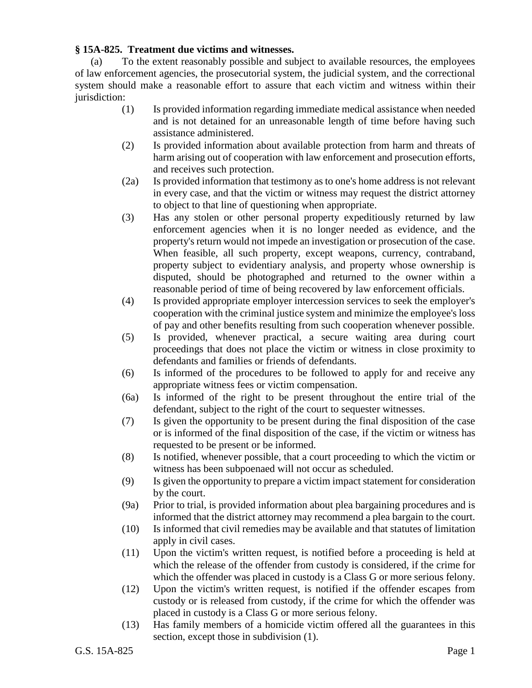## **§ 15A-825. Treatment due victims and witnesses.**

(a) To the extent reasonably possible and subject to available resources, the employees of law enforcement agencies, the prosecutorial system, the judicial system, and the correctional system should make a reasonable effort to assure that each victim and witness within their jurisdiction:

- (1) Is provided information regarding immediate medical assistance when needed and is not detained for an unreasonable length of time before having such assistance administered.
- (2) Is provided information about available protection from harm and threats of harm arising out of cooperation with law enforcement and prosecution efforts, and receives such protection.
- (2a) Is provided information that testimony as to one's home address is not relevant in every case, and that the victim or witness may request the district attorney to object to that line of questioning when appropriate.
- (3) Has any stolen or other personal property expeditiously returned by law enforcement agencies when it is no longer needed as evidence, and the property's return would not impede an investigation or prosecution of the case. When feasible, all such property, except weapons, currency, contraband, property subject to evidentiary analysis, and property whose ownership is disputed, should be photographed and returned to the owner within a reasonable period of time of being recovered by law enforcement officials.
- (4) Is provided appropriate employer intercession services to seek the employer's cooperation with the criminal justice system and minimize the employee's loss of pay and other benefits resulting from such cooperation whenever possible.
- (5) Is provided, whenever practical, a secure waiting area during court proceedings that does not place the victim or witness in close proximity to defendants and families or friends of defendants.
- (6) Is informed of the procedures to be followed to apply for and receive any appropriate witness fees or victim compensation.
- (6a) Is informed of the right to be present throughout the entire trial of the defendant, subject to the right of the court to sequester witnesses.
- (7) Is given the opportunity to be present during the final disposition of the case or is informed of the final disposition of the case, if the victim or witness has requested to be present or be informed.
- (8) Is notified, whenever possible, that a court proceeding to which the victim or witness has been subpoenaed will not occur as scheduled.
- (9) Is given the opportunity to prepare a victim impact statement for consideration by the court.
- (9a) Prior to trial, is provided information about plea bargaining procedures and is informed that the district attorney may recommend a plea bargain to the court.
- (10) Is informed that civil remedies may be available and that statutes of limitation apply in civil cases.
- (11) Upon the victim's written request, is notified before a proceeding is held at which the release of the offender from custody is considered, if the crime for which the offender was placed in custody is a Class G or more serious felony.
- (12) Upon the victim's written request, is notified if the offender escapes from custody or is released from custody, if the crime for which the offender was placed in custody is a Class G or more serious felony.
- (13) Has family members of a homicide victim offered all the guarantees in this section, except those in subdivision (1).